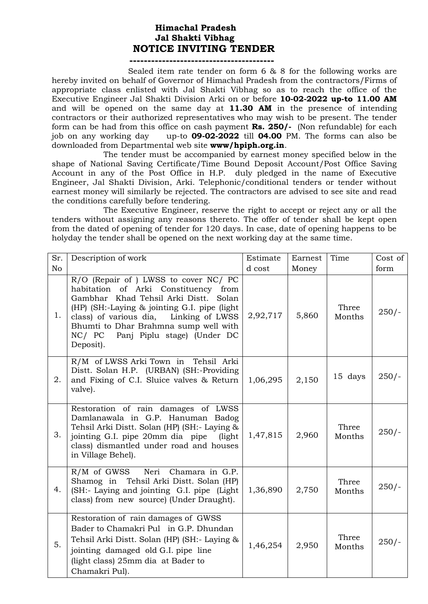## **Himachal Pradesh Jal Shakti Vibhag NOTICE INVITING TENDER**

## **----------------------------------------**

 Sealed item rate tender on form 6 & 8 for the following works are hereby invited on behalf of Governor of Himachal Pradesh from the contractors/Firms of appropriate class enlisted with Jal Shakti Vibhag so as to reach the office of the Executive Engineer Jal Shakti Division Arki on or before **10-02-2022 up-to 11.00 AM**  and will be opened on the same day at **11.30 AM** in the presence of intending contractors or their authorized representatives who may wish to be present. The tender form can be had from this office on cash payment **Rs. 250/-** (Non refundable) for each job on any working day up-to **09-02-2022** till **04.00** PM. The forms can also be downloaded from Departmental web site **www/hpiph.org.in**.

The tender must be accompanied by earnest money specified below in the shape of National Saving Certificate/Time Bound Deposit Account/Post Office Saving Account in any of the Post Office in H.P. duly pledged in the name of Executive Engineer, Jal Shakti Division, Arki. Telephonic/conditional tenders or tender without earnest money will similarly be rejected. The contractors are advised to see site and read the conditions carefully before tendering.

The Executive Engineer, reserve the right to accept or reject any or all the tenders without assigning any reasons thereto. The offer of tender shall be kept open from the dated of opening of tender for 120 days. In case, date of opening happens to be holyday the tender shall be opened on the next working day at the same time.

| Sr.            | Description of work                                                                                                                                                                                                                                                                                             | Estimate | Earnest | Time            | Cost of |
|----------------|-----------------------------------------------------------------------------------------------------------------------------------------------------------------------------------------------------------------------------------------------------------------------------------------------------------------|----------|---------|-----------------|---------|
| N <sub>o</sub> |                                                                                                                                                                                                                                                                                                                 | d cost   | Money   |                 | form    |
| 1.             | R/O (Repair of ) LWSS to cover NC/ PC<br>habitation of Arki Constituency from<br>Gambhar Khad Tehsil Arki Distt. Solan<br>(HP) (SH:-Laying & jointing G.I. pipe (light)<br>class) of various dia, Linking of LWSS<br>Bhumti to Dhar Brahmna sump well with<br>Panj Piplu stage) (Under DC<br>NC/PC<br>Deposit). | 2,92,717 | 5,860   | Three<br>Months | $250/-$ |
| 2.             | R/M of LWSS Arki Town in<br>Tehsil Arki<br>Distt. Solan H.P. (URBAN) (SH:-Providing<br>and Fixing of C.I. Sluice valves & Return<br>valve).                                                                                                                                                                     | 1,06,295 | 2,150   | 15 days         | $250/-$ |
| 3.             | Restoration of rain damages of LWSS<br>Damlanawala in G.P. Hanuman Badog<br>Tehsil Arki Distt. Solan (HP) (SH:- Laying &<br>jointing G.I. pipe 20mm dia pipe<br>(light)<br>class) dismantled under road and houses<br>in Village Behel).                                                                        | 1,47,815 | 2,960   | Three<br>Months | $250/-$ |
| 4.             | $R/M$ of GWSS<br>Neri Chamara in G.P.<br>Shamog in Tehsil Arki Distt. Solan (HP)<br>(SH:- Laying and jointing G.I. pipe (Light)<br>class) from new source) (Under Draught).                                                                                                                                     | 1,36,890 | 2,750   | Three<br>Months | $250/-$ |
| 5.             | Restoration of rain damages of GWSS<br>Bader to Chamakri Pul in G.P. Dhundan<br>Tehsil Arki Distt. Solan (HP) (SH: - Laying &<br>jointing damaged old G.I. pipe line<br>(light class) 25mm dia at Bader to<br>Chamakri Pul).                                                                                    | 1,46,254 | 2,950   | Three<br>Months | $250/-$ |